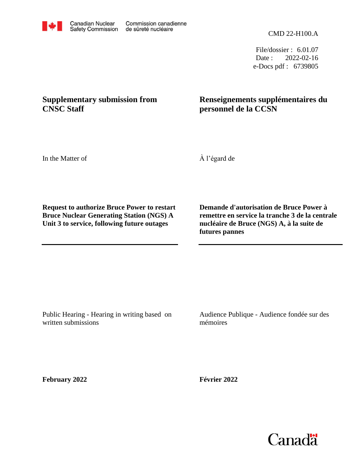CMD 22-H100.A

File/dossier : 6.01.07 Date : 2022-02-16 e-Docs pdf : 6739805

## **Supplementary submission from CNSC Staff**

## **Renseignements supplémentaires du personnel de la CCSN**

In the Matter of

À l'égard de

**Request to authorize Bruce Power to restart Bruce Nuclear Generating Station (NGS) A Unit 3 to service, following future outages**

**Demande d'autorisation de Bruce Power à remettre en service la tranche 3 de la centrale nucléaire de Bruce (NGS) A, à la suite de futures pannes**

Public Hearing - Hearing in writing based on written submissions

Audience Publique - Audience fondée sur des mémoires

**February 2022**

**Février 2022**



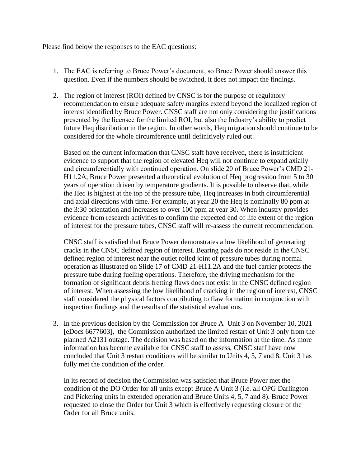Please find below the responses to the EAC questions:

- 1. The EAC is referring to Bruce Power's document, so Bruce Power should answer this question. Even if the numbers should be switched, it does not impact the findings.
- 2. The region of interest (ROI) defined by CNSC is for the purpose of regulatory recommendation to ensure adequate safety margins extend beyond the localized region of interest identified by Bruce Power. CNSC staff are not only considering the justifications presented by the licensee for the limited ROI, but also the Industry's ability to predict future Heq distribution in the region. In other words, Heq migration should continue to be considered for the whole circumference until definitively ruled out.

Based on the current information that CNSC staff have received, there is insufficient evidence to support that the region of elevated Heq will not continue to expand axially and circumferentially with continued operation. On slide 20 of Bruce Power's CMD 21- H11.2A, Bruce Power presented a theoretical evolution of Heq progression from 5 to 30 years of operation driven by temperature gradients. It is possible to observe that, while the Heq is highest at the top of the pressure tube, Heq increases in both circumferential and axial directions with time. For example, at year 20 the Heq is nominally 80 ppm at the 3:30 orientation and increases to over 100 ppm at year 30. When industry provides evidence from research activities to confirm the expected end of life extent of the region of interest for the pressure tubes, CNSC staff will re-assess the current recommendation.

CNSC staff is satisfied that Bruce Power demonstrates a low likelihood of generating cracks in the CNSC defined region of interest. Bearing pads do not reside in the CNSC defined region of interest near the outlet rolled joint of pressure tubes during normal operation as illustrated on Slide 17 of CMD 21-H11.2A and the fuel carrier protects the pressure tube during fueling operations. Therefore, the driving mechanism for the formation of significant debris fretting flaws does not exist in the CNSC defined region of interest. When assessing the low likelihood of cracking in the region of interest, CNSC staff considered the physical factors contributing to flaw formation in conjunction with inspection findings and the results of the statistical evaluations.

3. In the previous decision by the Commission for Bruce A Unit 3 on November 10, 2021 [eDocs [6677603\]](6677603), the Commission authorized the limited restart of Unit 3 only from the planned A2131 outage. The decision was based on the information at the time. As more information has become available for CNSC staff to assess, CNSC staff have now concluded that Unit 3 restart conditions will be similar to Units 4, 5, 7 and 8. Unit 3 has fully met the condition of the order.

In its record of decision the Commission was satisfied that Bruce Power met the condition of the DO Order for all units except Bruce A Unit 3 (i.e. all OPG Darlington and Pickering units in extended operation and Bruce Units 4, 5, 7 and 8). Bruce Power requested to close the Order for Unit 3 which is effectively requesting closure of the Order for all Bruce units.